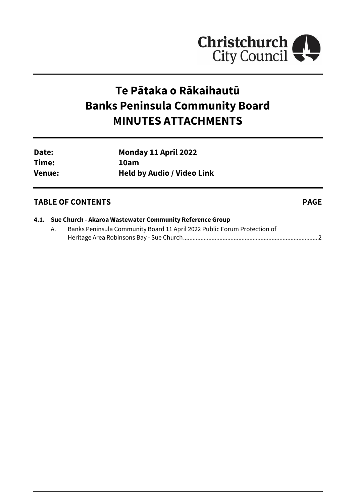

## **Te Pātaka o Rākaihautū Banks Peninsula Community Board MINUTES ATTACHMENTS**

| Date:         | Monday 11 April 2022              |
|---------------|-----------------------------------|
| Time:         | 10am                              |
| <b>Venue:</b> | <b>Held by Audio / Video Link</b> |

## **TABLE OF CONTENTS PAGE**

|  | 4.1. Sue Church - Akaroa Wastewater Community Reference Group |  |  |  |
|--|---------------------------------------------------------------|--|--|--|
|--|---------------------------------------------------------------|--|--|--|

A. Banks Peninsula Community Board 11 April 2022 Public Forum Protection of Heritage Area Robinsons Bay - Sue Church..................................................................................... [2](#page-1-0)